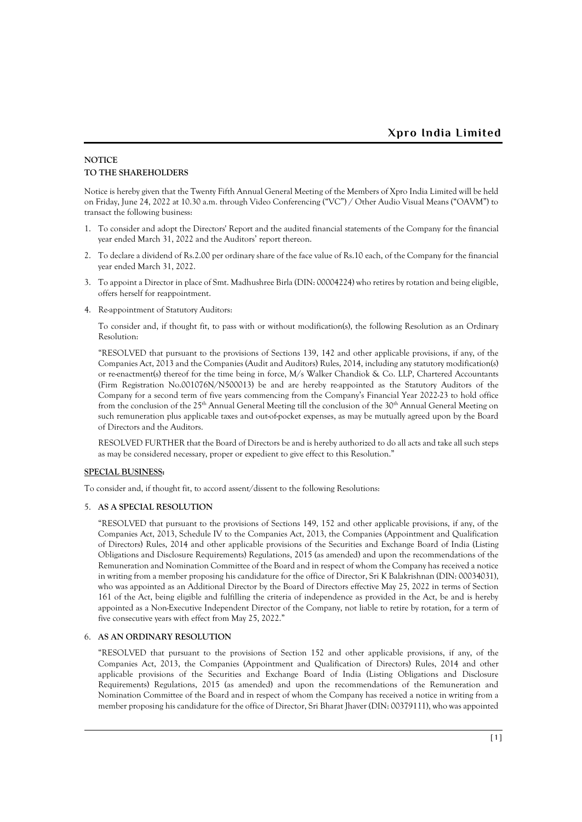## **NOTICE TO THE SHAREHOLDERS**

Notice is hereby given that the Twenty Fifth Annual General Meeting of the Members of Xpro India Limited will be held on Friday, June 24, 2022 at 10.30 a.m. through Video Conferencing ("VC") / Other Audio Visual Means ("OAVM") to transact the following business:

- 1. To consider and adopt the Directors' Report and the audited financial statements of the Company for the financial year ended March 31, 2022 and the Auditors' report thereon.
- 2. To declare a dividend of Rs.2.00 per ordinary share of the face value of Rs.10 each, of the Company for the financial year ended March 31, 2022.
- 3. To appoint a Director in place of Smt. Madhushree Birla (DIN: 00004224) who retires by rotation and being eligible, offers herself for reappointment.
- 4. Re-appointment of Statutory Auditors:

To consider and, if thought fit, to pass with or without modification(s), the following Resolution as an Ordinary Resolution:

"RESOLVED that pursuant to the provisions of Sections 139, 142 and other applicable provisions, if any, of the Companies Act, 2013 and the Companies (Audit and Auditors) Rules, 2014, including any statutory modification(s) or re-enactment(s) thereof for the time being in force, M/s Walker Chandiok & Co. LLP, Chartered Accountants (Firm Registration No.001076N/N500013) be and are hereby re-appointed as the Statutory Auditors of the Company for a second term of five years commencing from the Company's Financial Year 2022-23 to hold office from the conclusion of the 25<sup>th</sup> Annual General Meeting till the conclusion of the 30<sup>th</sup> Annual General Meeting on such remuneration plus applicable taxes and out-of-pocket expenses, as may be mutually agreed upon by the Board of Directors and the Auditors.

RESOLVED FURTHER that the Board of Directors be and is hereby authorized to do all acts and take all such steps as may be considered necessary, proper or expedient to give effect to this Resolution."

### **SPECIAL BUSINESS:**

To consider and, if thought fit, to accord assent/dissent to the following Resolutions:

### 5. **AS A SPECIAL RESOLUTION**

"RESOLVED that pursuant to the provisions of Sections 149, 152 and other applicable provisions, if any, of the Companies Act, 2013, Schedule IV to the Companies Act, 2013, the Companies (Appointment and Qualification of Directors) Rules, 2014 and other applicable provisions of the Securities and Exchange Board of India (Listing Obligations and Disclosure Requirements) Regulations, 2015 (as amended) and upon the recommendations of the Remuneration and Nomination Committee of the Board and in respect of whom the Company has received a notice in writing from a member proposing his candidature for the office of Director, Sri K Balakrishnan (DIN: 00034031), who was appointed as an Additional Director by the Board of Directors effective May 25, 2022 in terms of Section 161 of the Act, being eligible and fulfilling the criteria of independence as provided in the Act, be and is hereby appointed as a Non-Executive Independent Director of the Company, not liable to retire by rotation, for a term of five consecutive years with effect from May 25, 2022."

### 6. **AS AN ORDINARY RESOLUTION**

"RESOLVED that pursuant to the provisions of Section 152 and other applicable provisions, if any, of the Companies Act, 2013, the Companies (Appointment and Qualification of Directors) Rules, 2014 and other applicable provisions of the Securities and Exchange Board of India (Listing Obligations and Disclosure Requirements) Regulations, 2015 (as amended) and upon the recommendations of the Remuneration and Nomination Committee of the Board and in respect of whom the Company has received a notice in writing from a member proposing his candidature for the office of Director, Sri Bharat Jhaver (DIN: 00379111), who was appointed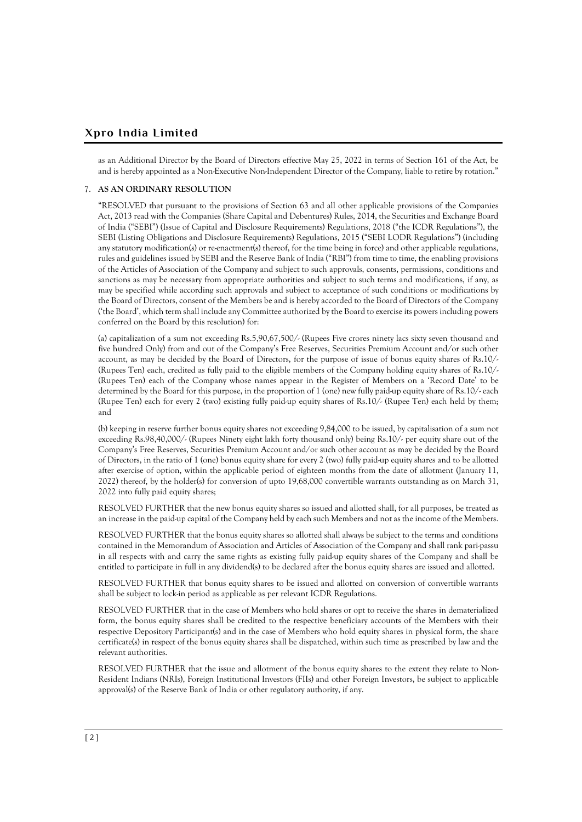as an Additional Director by the Board of Directors effective May 25, 2022 in terms of Section 161 of the Act, be and is hereby appointed as a Non-Executive Non-Independent Director of the Company, liable to retire by rotation."

### 7. **AS AN ORDINARY RESOLUTION**

"RESOLVED that pursuant to the provisions of Section 63 and all other applicable provisions of the Companies Act, 2013 read with the Companies (Share Capital and Debentures) Rules, 2014, the Securities and Exchange Board of India ("SEBI") (Issue of Capital and Disclosure Requirements) Regulations, 2018 ("the ICDR Regulations"), the SEBI (Listing Obligations and Disclosure Requirements) Regulations, 2015 ("SEBI LODR Regulations") (including any statutory modification(s) or re-enactment(s) thereof, for the time being in force) and other applicable regulations, rules and guidelines issued by SEBI and the Reserve Bank of India ("RBI") from time to time, the enabling provisions of the Articles of Association of the Company and subject to such approvals, consents, permissions, conditions and sanctions as may be necessary from appropriate authorities and subject to such terms and modifications, if any, as may be specified while according such approvals and subject to acceptance of such conditions or modifications by the Board of Directors, consent of the Members be and is hereby accorded to the Board of Directors of the Company ('the Board', which term shall include any Committee authorized by the Board to exercise its powers including powers conferred on the Board by this resolution) for:

(a) capitalization of a sum not exceeding Rs.5,90,67,500/- (Rupees Five crores ninety lacs sixty seven thousand and five hundred Only) from and out of the Company's Free Reserves, Securities Premium Account and/or such other account, as may be decided by the Board of Directors, for the purpose of issue of bonus equity shares of Rs.10/- (Rupees Ten) each, credited as fully paid to the eligible members of the Company holding equity shares of Rs.10/- (Rupees Ten) each of the Company whose names appear in the Register of Members on a 'Record Date' to be determined by the Board for this purpose, in the proportion of 1 (one) new fully paid-up equity share of Rs.10/- each (Rupee Ten) each for every 2 (two) existing fully paid-up equity shares of Rs.10/- (Rupee Ten) each held by them; and

(b) keeping in reserve further bonus equity shares not exceeding 9,84,000 to be issued, by capitalisation of a sum not exceeding Rs.98,40,000/- (Rupees Ninety eight lakh forty thousand only) being Rs.10/- per equity share out of the Company's Free Reserves, Securities Premium Account and/or such other account as may be decided by the Board of Directors, in the ratio of 1 (one) bonus equity share for every 2 (two) fully paid-up equity shares and to be allotted after exercise of option, within the applicable period of eighteen months from the date of allotment (January 11, 2022) thereof, by the holder(s) for conversion of upto 19,68,000 convertible warrants outstanding as on March 31, 2022 into fully paid equity shares;

RESOLVED FURTHER that the new bonus equity shares so issued and allotted shall, for all purposes, be treated as an increase in the paid-up capital of the Company held by each such Members and not as the income of the Members.

RESOLVED FURTHER that the bonus equity shares so allotted shall always be subject to the terms and conditions contained in the Memorandum of Association and Articles of Association of the Company and shall rank pari-passu in all respects with and carry the same rights as existing fully paid-up equity shares of the Company and shall be entitled to participate in full in any dividend(s) to be declared after the bonus equity shares are issued and allotted.

RESOLVED FURTHER that bonus equity shares to be issued and allotted on conversion of convertible warrants shall be subject to lock-in period as applicable as per relevant ICDR Regulations.

RESOLVED FURTHER that in the case of Members who hold shares or opt to receive the shares in dematerialized form, the bonus equity shares shall be credited to the respective beneficiary accounts of the Members with their respective Depository Participant(s) and in the case of Members who hold equity shares in physical form, the share certificate(s) in respect of the bonus equity shares shall be dispatched, within such time as prescribed by law and the relevant authorities.

RESOLVED FURTHER that the issue and allotment of the bonus equity shares to the extent they relate to Non-Resident Indians (NRIs), Foreign Institutional Investors (FIIs) and other Foreign Investors, be subject to applicable approval(s) of the Reserve Bank of India or other regulatory authority, if any.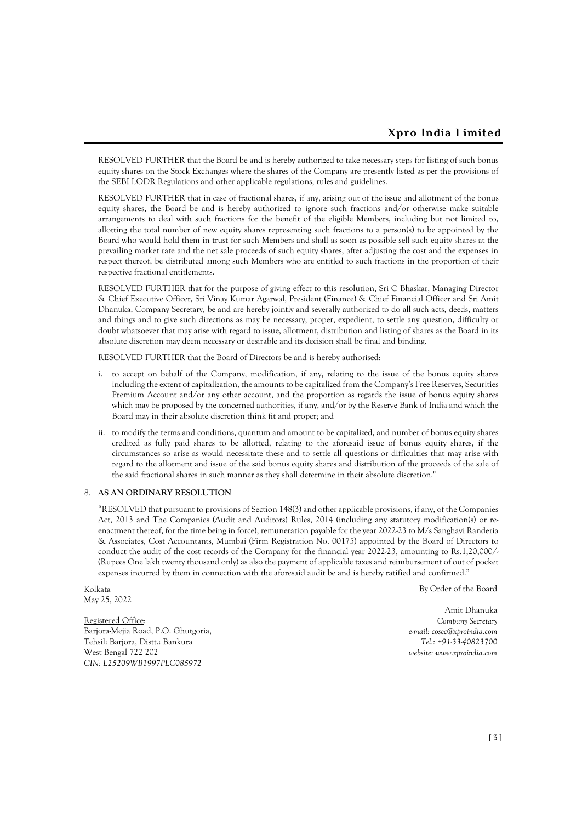RESOLVED FURTHER that the Board be and is hereby authorized to take necessary steps for listing of such bonus equity shares on the Stock Exchanges where the shares of the Company are presently listed as per the provisions of the SEBI LODR Regulations and other applicable regulations, rules and guidelines.

RESOLVED FURTHER that in case of fractional shares, if any, arising out of the issue and allotment of the bonus equity shares, the Board be and is hereby authorized to ignore such fractions and/or otherwise make suitable arrangements to deal with such fractions for the benefit of the eligible Members, including but not limited to, allotting the total number of new equity shares representing such fractions to a person(s) to be appointed by the Board who would hold them in trust for such Members and shall as soon as possible sell such equity shares at the prevailing market rate and the net sale proceeds of such equity shares, after adjusting the cost and the expenses in respect thereof, be distributed among such Members who are entitled to such fractions in the proportion of their respective fractional entitlements.

RESOLVED FURTHER that for the purpose of giving effect to this resolution, Sri C Bhaskar, Managing Director & Chief Executive Officer, Sri Vinay Kumar Agarwal, President (Finance) & Chief Financial Officer and Sri Amit Dhanuka, Company Secretary, be and are hereby jointly and severally authorized to do all such acts, deeds, matters and things and to give such directions as may be necessary, proper, expedient, to settle any question, difficulty or doubt whatsoever that may arise with regard to issue, allotment, distribution and listing of shares as the Board in its absolute discretion may deem necessary or desirable and its decision shall be final and binding.

RESOLVED FURTHER that the Board of Directors be and is hereby authorised:

- i. to accept on behalf of the Company, modification, if any, relating to the issue of the bonus equity shares including the extent of capitalization, the amounts to be capitalized from the Company's Free Reserves, Securities Premium Account and/or any other account, and the proportion as regards the issue of bonus equity shares which may be proposed by the concerned authorities, if any, and/or by the Reserve Bank of India and which the Board may in their absolute discretion think fit and proper; and
- ii. to modify the terms and conditions, quantum and amount to be capitalized, and number of bonus equity shares credited as fully paid shares to be allotted, relating to the aforesaid issue of bonus equity shares, if the circumstances so arise as would necessitate these and to settle all questions or difficulties that may arise with regard to the allotment and issue of the said bonus equity shares and distribution of the proceeds of the sale of the said fractional shares in such manner as they shall determine in their absolute discretion."

#### 8. **AS AN ORDINARY RESOLUTION**

"RESOLVED that pursuant to provisions of Section 148(3) and other applicable provisions, if any, of the Companies Act, 2013 and The Companies (Audit and Auditors) Rules, 2014 (including any statutory modification(s) or reenactment thereof, for the time being in force), remuneration payable for the year 2022-23 to M/s Sanghavi Randeria & Associates, Cost Accountants, Mumbai (Firm Registration No. 00175) appointed by the Board of Directors to conduct the audit of the cost records of the Company for the financial year 2022-23, amounting to Rs.1,20,000/- (Rupees One lakh twenty thousand only) as also the payment of applicable taxes and reimbursement of out of pocket expenses incurred by them in connection with the aforesaid audit be and is hereby ratified and confirmed."

Kolkata May 25, 2022

Registered Office: Barjora-Mejia Road, P.O. Ghutgoria, Tehsil: Barjora, Distt.: Bankura West Bengal 722 202 *CIN: L25209WB1997PLC085972*

By Order of the Board

Amit Dhanuka *Company Secretary e-mail: [cosec@xproindia.com](mailto:cosec@xproindia.com) Tel.: +91-33-40823700 website: www.xproindia.com*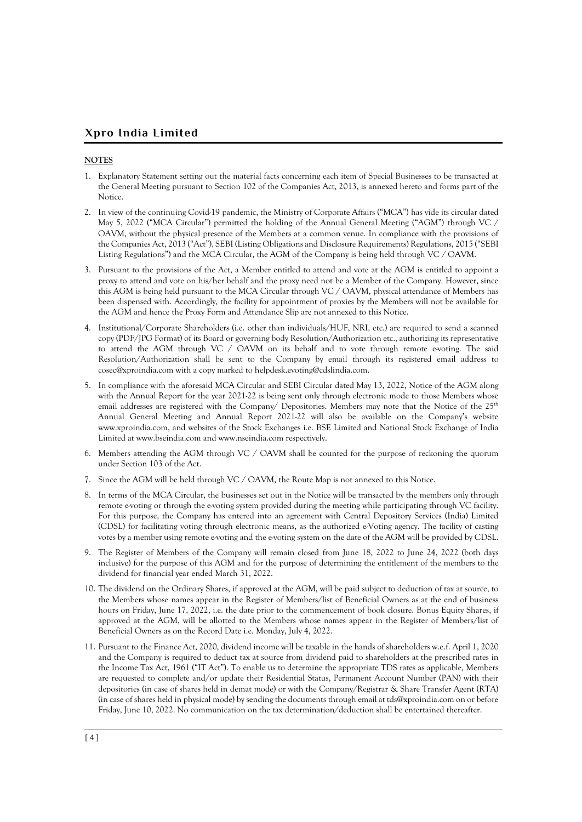## **NOTES**

- 1. Explanatory Statement setting out the material facts concerning each item of Special Businesses to be transacted at the General Meeting pursuant to Section 102 of the Companies Act, 2013, is annexed hereto and forms part of the Notice.
- 2. In view of the continuing Covid-19 pandemic, the Ministry of Corporate Affairs ("MCA") has vide its circular dated May 5, 2022 ("MCA Circular") permitted the holding of the Annual General Meeting ("AGM") through VC / OAVM, without the physical presence of the Members at a common venue. In compliance with the provisions of the Companies Act, 2013 ("Act"), SEBI (Listing Obligations and Disclosure Requirements) Regulations, 2015 ("SEBI Listing Regulations") and the MCA Circular, the AGM of the Company is being held through VC / OAVM.
- 3. Pursuant to the provisions of the Act, a Member entitled to attend and vote at the AGM is entitled to appoint a proxy to attend and vote on his/her behalf and the proxy need not be a Member of the Company. However, since this AGM is being held pursuant to the MCA Circular through VC / OAVM, physical attendance of Members has been dispensed with. Accordingly, the facility for appointment of proxies by the Members will not be available for the AGM and hence the Proxy Form and Attendance Slip are not annexed to this Notice.
- 4. Institutional/Corporate Shareholders (i.e. other than individuals/HUF, NRI, etc.) are required to send a scanned copy (PDF/JPG Format) of its Board or governing body Resolution/Authorization etc., authorizing its representative to attend the AGM through VC / OAVM on its behalf and to vote through remote e-voting. The said Resolution/Authorization shall be sent to the Company by email through its registered email address to [cosec@xproindia.com](mailto:cosec@xproindia.com) with a copy marked to [helpdesk.evoting@cdslindia.com.](mailto:helpdesk.evoting@cdslindia.com)
- 5. In compliance with the aforesaid MCA Circular and SEBI Circular dated May 13, 2022, Notice of the AGM along with the Annual Report for the year 2021-22 is being sent only through electronic mode to those Members whose email addresses are registered with the Company/ Depositories. Members may note that the Notice of the 25<sup>th</sup> Annual General Meeting and Annual Report 2021-22 will also be available on the Company's website www.xproindia.com, and websites of the Stock Exchanges i.e. BSE Limited and National Stock Exchange of India Limited at www.bseindia.com and www.nseindia.com respectively.
- 6. Members attending the AGM through VC / OAVM shall be counted for the purpose of reckoning the quorum under Section 103 of the Act.
- 7. Since the AGM will be held through VC / OAVM, the Route Map is not annexed to this Notice.
- 8. In terms of the MCA Circular, the businesses set out in the Notice will be transacted by the members only through remote e-voting or through the e-voting system provided during the meeting while participating through VC facility. For this purpose, the Company has entered into an agreement with Central Depository Services (India) Limited (CDSL) for facilitating voting through electronic means, as the authorized e-Voting agency. The facility of casting votes by a member using remote e-voting and the e-voting system on the date of the AGM will be provided by CDSL.
- 9. The Register of Members of the Company will remain closed from June 18, 2022 to June 24, 2022 (both days inclusive) for the purpose of this AGM and for the purpose of determining the entitlement of the members to the dividend for financial year ended March 31, 2022.
- 10. The dividend on the Ordinary Shares, if approved at the AGM, will be paid subject to deduction of tax at source, to the Members whose names appear in the Register of Members/list of Beneficial Owners as at the end of business hours on Friday, June 17, 2022, i.e. the date prior to the commencement of book closure. Bonus Equity Shares, if approved at the AGM, will be allotted to the Members whose names appear in the Register of Members/list of Beneficial Owners as on the Record Date i.e. Monday, July 4, 2022.
- 11. Pursuant to the Finance Act, 2020, dividend income will be taxable in the hands of shareholders w.e.f. April 1, 2020 and the Company is required to deduct tax at source from dividend paid to shareholders at the prescribed rates in the Income Tax Act, 1961 ("IT Act"). To enable us to determine the appropriate TDS rates as applicable, Members are requested to complete and/or update their Residential Status, Permanent Account Number (PAN) with their depositories (in case of shares held in demat mode) or with the Company/Registrar & Share Transfer Agent (RTA) (in case of shares held in physical mode) by sending the documents through email at tds@xproindia.com on or before Friday, June 10, 2022. No communication on the tax determination/deduction shall be entertained thereafter.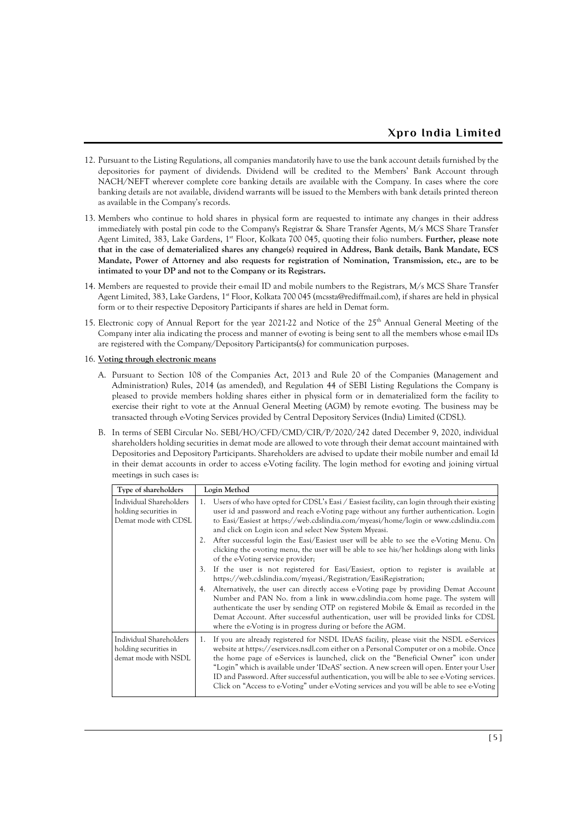- 12. Pursuant to the Listing Regulations, all companies mandatorily have to use the bank account details furnished by the depositories for payment of dividends. Dividend will be credited to the Members' Bank Account through NACH/NEFT wherever complete core banking details are available with the Company. In cases where the core banking details are not available, dividend warrants will be issued to the Members with bank details printed thereon as available in the Company's records.
- 13. Members who continue to hold shares in physical form are requested to intimate any changes in their address immediately with postal pin code to the Company's Registrar & Share Transfer Agents, M/s MCS Share Transfer Agent Limited, 383, Lake Gardens, 1<sup>st</sup> Floor, Kolkata 700 045, quoting their folio numbers. Further, please note **that in the case of dematerialized shares any change(s) required in Address, Bank details, Bank Mandate, ECS Mandate, Power of Attorney and also requests for registration of Nomination, Transmission, etc., are to be intimated to your DP and not to the Company or its Registrars.**
- 14. Members are requested to provide their e-mail ID and mobile numbers to the Registrars, M/s MCS Share Transfer Agent Limited, 383, Lake Gardens, 1<sup>st</sup> Floor, Kolkata 700 045 [\(mcssta@rediffmail.com\)](mailto:mcssta@rediffmail.com), if shares are held in physical form or to their respective Depository Participants if shares are held in Demat form.
- 15. Electronic copy of Annual Report for the year 2021-22 and Notice of the 25<sup>th</sup> Annual General Meeting of the Company inter alia indicating the process and manner of evoting is being sent to all the members whose e-mail IDs are registered with the Company/Depository Participants(s) for communication purposes.
- 16. **Voting through electronic means**
	- A. Pursuant to Section 108 of the Companies Act, 2013 and Rule 20 of the Companies (Management and Administration) Rules, 2014 (as amended), and Regulation 44 of SEBI Listing Regulations the Company is pleased to provide members holding shares either in physical form or in dematerialized form the facility to exercise their right to vote at the Annual General Meeting (AGM) by remote e-voting. The business may be transacted through e-Voting Services provided by Central Depository Services (India) Limited (CDSL).
	- B. In terms of SEBI Circular No. SEBI/HO/CFD/CMD/CIR/P/2020/242 dated December 9, 2020, individual shareholders holding securities in demat mode are allowed to vote through their demat account maintained with Depositories and Depository Participants. Shareholders are advised to update their mobile number and email Id in their demat accounts in order to access e-Voting facility. The login method for e-voting and joining virtual meetings in such cases is:

| Type of shareholders                                                     | Login Method                                                                                                                                                                                                                                                                                                                                                                                                                                                                                                                                                                     |  |  |  |  |
|--------------------------------------------------------------------------|----------------------------------------------------------------------------------------------------------------------------------------------------------------------------------------------------------------------------------------------------------------------------------------------------------------------------------------------------------------------------------------------------------------------------------------------------------------------------------------------------------------------------------------------------------------------------------|--|--|--|--|
| Individual Shareholders<br>holding securities in<br>Demat mode with CDSL | Users of who have opted for CDSL's Easi / Easiest facility, can login through their existing<br>1.<br>user id and password and reach e-Voting page without any further authentication. Login<br>to Easi/Easiest at https://web.cdslindia.com/myeasi/home/login or www.cdslindia.com<br>and click on Login icon and select New System Myeasi.<br>2. After successful login the Easi/Easiest user will be able to see the e-Voting Menu. On                                                                                                                                        |  |  |  |  |
|                                                                          | clicking the e-voting menu, the user will be able to see his/her holdings along with links<br>of the e-Voting service provider;                                                                                                                                                                                                                                                                                                                                                                                                                                                  |  |  |  |  |
|                                                                          | If the user is not registered for Easi/Easiest, option to register is available at<br>3.<br>https://web.cdslindia.com/myeasi./Registration/EasiRegistration;                                                                                                                                                                                                                                                                                                                                                                                                                     |  |  |  |  |
|                                                                          | Alternatively, the user can directly access e-Voting page by providing Demat Account<br>4.<br>Number and PAN No. from a link in www.cdslindia.com home page. The system will<br>authenticate the user by sending OTP on registered Mobile & Email as recorded in the<br>Demat Account. After successful authentication, user will be provided links for CDSL<br>where the e-Voting is in progress during or before the AGM.                                                                                                                                                      |  |  |  |  |
| Individual Shareholders<br>holding securities in<br>demat mode with NSDL | If you are already registered for NSDL IDeAS facility, please visit the NSDL e-Services<br>$1_{-}$<br>website at https://eservices.nsdl.com either on a Personal Computer or on a mobile. Once<br>the home page of e-Services is launched, click on the "Beneficial Owner" icon under<br>"Login" which is available under 'IDeAS' section. A new screen will open. Enter your User<br>ID and Password. After successful authentication, you will be able to see e-Voting services.<br>Click on "Access to e-Voting" under e-Voting services and you will be able to see e-Voting |  |  |  |  |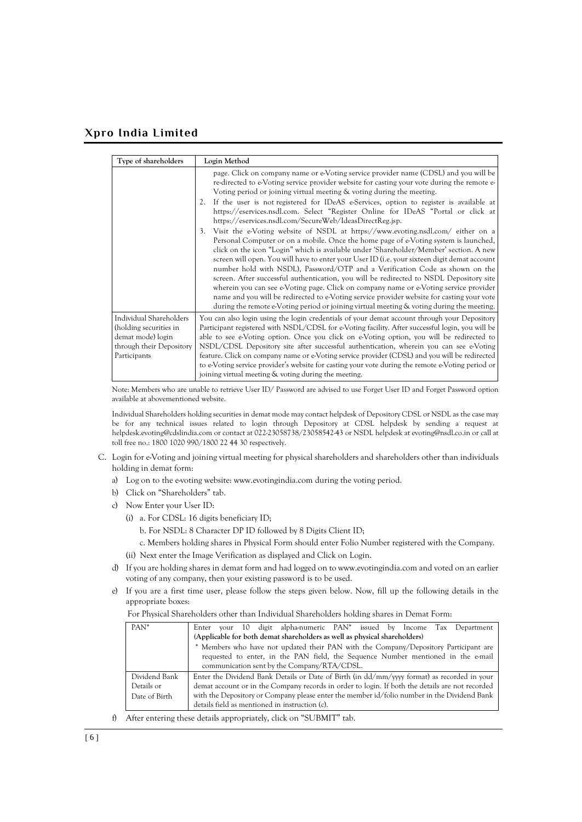| Type of shareholders                                                                                               | Login Method                                                                                                                                                                                                                                                                                                                                                                                                                                                                                                                                                                                                                                                                                                                                                                                                                                                                                                                                                                                                                                                                                                                                                                                                                                                                                                                                                                |
|--------------------------------------------------------------------------------------------------------------------|-----------------------------------------------------------------------------------------------------------------------------------------------------------------------------------------------------------------------------------------------------------------------------------------------------------------------------------------------------------------------------------------------------------------------------------------------------------------------------------------------------------------------------------------------------------------------------------------------------------------------------------------------------------------------------------------------------------------------------------------------------------------------------------------------------------------------------------------------------------------------------------------------------------------------------------------------------------------------------------------------------------------------------------------------------------------------------------------------------------------------------------------------------------------------------------------------------------------------------------------------------------------------------------------------------------------------------------------------------------------------------|
|                                                                                                                    | page. Click on company name or e-Voting service provider name (CDSL) and you will be<br>re-directed to e-Voting service provider website for casting your vote during the remote e-<br>Voting period or joining virtual meeting & voting during the meeting.<br>If the user is not registered for IDeAS e-Services, option to register is available at<br>2.<br>https://eservices.nsdl.com. Select "Register Online for IDeAS "Portal or click at<br>https://eservices.nsdl.com/SecureWeb/IdeasDirectReg.jsp.<br>Visit the e-Voting website of NSDL at https://www.evoting.nsdl.com/ either on a<br>3 <sub>1</sub><br>Personal Computer or on a mobile. Once the home page of e-Voting system is launched,<br>click on the icon "Login" which is available under 'Shareholder/Member' section. A new<br>screen will open. You will have to enter your User ID ( <i>i.e.</i> your sixteen digit demat account<br>number hold with NSDL), Password/OTP and a Verification Code as shown on the<br>screen. After successful authentication, you will be redirected to NSDL Depository site<br>wherein you can see e-Voting page. Click on company name or e-Voting service provider<br>name and you will be redirected to e-Voting service provider website for casting your vote<br>during the remote e-Voting period or joining virtual meeting & voting during the meeting. |
| Individual Shareholders<br>(holding securities in<br>demat mode) login<br>through their Depository<br>Participants | You can also login using the login credentials of your demat account through your Depository<br>Participant registered with NSDL/CDSL for e-Voting facility. After successful login, you will be<br>able to see e-Voting option. Once you click on e-Voting option, you will be redirected to<br>NSDL/CDSL Depository site after successful authentication, wherein you can see e-Voting<br>feature. Click on company name or e-Voting service provider (CDSL) and you will be redirected<br>to e-Voting service provider's website for casting your vote during the remote e-Voting period or<br>joining virtual meeting & voting during the meeting.                                                                                                                                                                                                                                                                                                                                                                                                                                                                                                                                                                                                                                                                                                                      |

Note: Members who are unable to retrieve User ID/ Password are advised to use Forget User ID and Forget Password option available at abovementioned website.

Individual Shareholders holding securities in demat mode may contact helpdesk of Depository CDSL or NSDL as the case may be for any technical issues related to login through Depository at CDSL helpdesk by sending a request at [helpdesk.evoting@cdslindia.com](mailto:helpdesk.evoting@cdslindia.com) or contact at 022-23058738/23058542-43 or NSDL helpdesk at evoting@nsdl.co.in or call at toll free no.: 1800 1020 990/1800 22 44 30 respectively.

- C. Login for e-Voting and joining virtual meeting for physical shareholders and shareholders other than individuals holding in demat form:
	- a) Log on to the e-voting website[: www.evotingindia.com](http://www.evotingindia.com/) during the voting period.
	- b) Click on "Shareholders" tab.
	- c) Now Enter your User ID:
		- (i) a. For CDSL: 16 digits beneficiary ID;
			- b. For NSDL: 8 Character DP ID followed by 8 Digits Client ID;
			- c. Members holding shares in Physical Form should enter Folio Number registered with the Company.
		- (ii) Next enter the Image Verification as displayed and Click on Login.
	- d) If you are holding shares in demat form and had logged on t[o www.evotingindia.com](http://www.evotingindia.com/) and voted on an earlier voting of any company, then your existing password is to be used.
	- e) If you are a first time user, please follow the steps given below. Now, fill up the following details in the appropriate boxes:

| $PAN^*$       | your 10 digit alpha-numeric PAN <sup>*</sup> issued by Income Tax Department<br>Enter           |  |  |  |  |  |
|---------------|-------------------------------------------------------------------------------------------------|--|--|--|--|--|
|               | (Applicable for both demat shareholders as well as physical shareholders)                       |  |  |  |  |  |
|               | * Members who have not updated their PAN with the Company/Depository Participant are            |  |  |  |  |  |
|               | requested to enter, in the PAN field, the Sequence Number mentioned in the e-mail               |  |  |  |  |  |
|               | communication sent by the Company/RTA/CDSL.                                                     |  |  |  |  |  |
| Dividend Bank | Enter the Dividend Bank Details or Date of Birth (in dd/mm/yyyy format) as recorded in your     |  |  |  |  |  |
| Details or    | demat account or in the Company records in order to login. If both the details are not recorded |  |  |  |  |  |
| Date of Birth | with the Depository or Company please enter the member id/folio number in the Dividend Bank     |  |  |  |  |  |
|               | details field as mentioned in instruction (c).                                                  |  |  |  |  |  |

f) After entering these details appropriately, click on "SUBMIT" tab.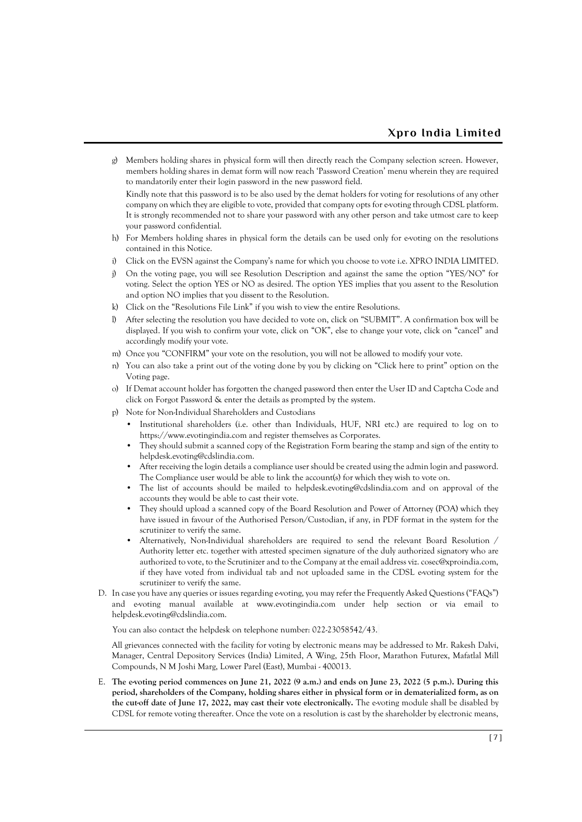g) Members holding shares in physical form will then directly reach the Company selection screen. However, members holding shares in demat form will now reach 'Password Creation' menu wherein they are required to mandatorily enter their login password in the new password field.

Kindly note that this password is to be also used by the demat holders for voting for resolutions of any other company on which they are eligible to vote, provided that company opts for e-voting through CDSL platform. It is strongly recommended not to share your password with any other person and take utmost care to keep your password confidential.

- h) For Members holding shares in physical form the details can be used only for e-voting on the resolutions contained in this Notice.
- i) Click on the EVSN against the Company's name for which you choose to vote i.e. XPRO INDIA LIMITED.
- j) On the voting page, you will see Resolution Description and against the same the option "YES/NO" for voting. Select the option YES or NO as desired. The option YES implies that you assent to the Resolution and option NO implies that you dissent to the Resolution.
- k) Click on the "Resolutions File Link" if you wish to view the entire Resolutions.
- l) After selecting the resolution you have decided to vote on, click on "SUBMIT". A confirmation box will be displayed. If you wish to confirm your vote, click on "OK", else to change your vote, click on "cancel" and accordingly modify your vote.
- m) Once you "CONFIRM" your vote on the resolution, you will not be allowed to modify your vote.
- n) You can also take a print out of the voting done by you by clicking on "Click here to print" option on the Voting page.
- o) If Demat account holder has forgotten the changed password then enter the User ID and Captcha Code and click on Forgot Password & enter the details as prompted by the system.
- p) Note for Non-Individual Shareholders and Custodians
	- Institutional shareholders (i.e. other than Individuals, HUF, NRI etc.) are required to log on to https://www.evotingindia.com and register themselves as Corporates.
	- They should submit a scanned copy of the Registration Form bearing the stamp and sign of the entity to helpdesk.evoting@cdslindia.com.
	- After receiving the login details a compliance user should be created using the admin login and password. The Compliance user would be able to link the account(s) for which they wish to vote on.
	- The list of accounts should be mailed to helpdesk.evoting@cdslindia.com and on approval of the accounts they would be able to cast their vote.
	- They should upload a scanned copy of the Board Resolution and Power of Attorney (POA) which they have issued in favour of the Authorised Person/Custodian, if any, in PDF format in the system for the scrutinizer to verify the same.
	- Alternatively, Non-Individual shareholders are required to send the relevant Board Resolution / Authority letter etc. together with attested specimen signature of the duly authorized signatory who are authorized to vote, to the Scrutinizer and to the Company at the email address viz. cosec@xproindia.com, if they have voted from individual tab and not uploaded same in the CDSL e-voting system for the scrutinizer to verify the same.
- D. In case you have any queries or issues regarding e-voting, you may refer the Frequently Asked Questions ("FAQs") and e-voting manual available at www.evotingindia.com under help section or via email to [helpdesk.evoting@cdslindia.com.](mailto:helpdesk.evoting@cdslindia.com)

You can also contact the helpdesk on telephone number: 022-23058542/43.

All grievances connected with the facility for voting by electronic means may be addressed to Mr. Rakesh Dalvi, Manager, Central Depository Services (India) Limited, A Wing, 25th Floor, Marathon Futurex, Mafatlal Mill Compounds, N M Joshi Marg, Lower Parel (East), Mumbai - 400013.

E. **The e-voting period commences on June 21, 2022 (9 a.m.) and ends on June 23, 2022 (5 p.m.). During this period, shareholders of the Company, holding shares either in physical form or in dematerialized form, as on the cut-off date of June 17, 2022, may cast their vote electronically.** The e-voting module shall be disabled by CDSL for remote voting thereafter. Once the vote on a resolution is cast by the shareholder by electronic means,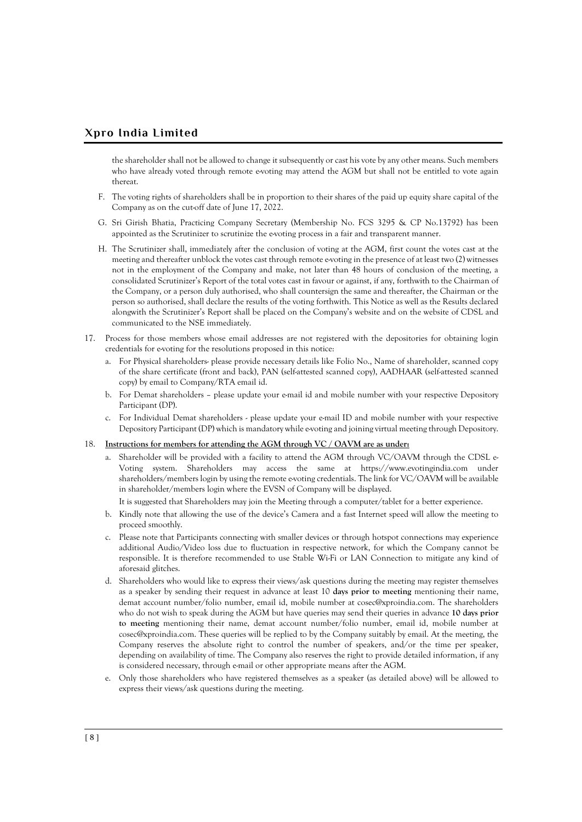the shareholder shall not be allowed to change it subsequently or cast his vote by any other means. Such members who have already voted through remote e-voting may attend the AGM but shall not be entitled to vote again thereat.

- F. The voting rights of shareholders shall be in proportion to their shares of the paid up equity share capital of the Company as on the cut-off date of June 17, 2022.
- G. Sri Girish Bhatia, Practicing Company Secretary (Membership No. FCS 3295 & CP No.13792) has been appointed as the Scrutinizer to scrutinize the e-voting process in a fair and transparent manner.
- H. The Scrutinizer shall, immediately after the conclusion of voting at the AGM, first count the votes cast at the meeting and thereafter unblock the votes cast through remote e-voting in the presence of at least two (2) witnesses not in the employment of the Company and make, not later than 48 hours of conclusion of the meeting, a consolidated Scrutinizer's Report of the total votes cast in favour or against, if any, forthwith to the Chairman of the Company, or a person duly authorised, who shall countersign the same and thereafter, the Chairman or the person so authorised, shall declare the results of the voting forthwith. This Notice as well as the Results declared alongwith the Scrutinizer's Report shall be placed on the Company's website and on the website of CDSL and communicated to the NSE immediately.
- 17. Process for those members whose email addresses are not registered with the depositories for obtaining login credentials for e-voting for the resolutions proposed in this notice:
	- a. For Physical shareholders- please provide necessary details like Folio No., Name of shareholder, scanned copy of the share certificate (front and back), PAN (self-attested scanned copy), AADHAAR (self-attested scanned copy) by email to Company/RTA email id.
	- b. For Demat shareholders please update your e-mail id and mobile number with your respective Depository Participant (DP).
	- c. For Individual Demat shareholders please update your e-mail ID and mobile number with your respective Depository Participant (DP) which is mandatory while e-voting and joining virtual meeting through Depository.

#### 18. **Instructions for members for attending the AGM through VC / OAVM are as under:**

- a. Shareholder will be provided with a facility to attend the AGM through VC/OAVM through the CDSL e-Voting system. Shareholders may access the same at https://www.evotingindia.com under shareholders/members login by using the remote e-voting credentials. The link for VC/OAVM will be available in shareholder/members login where the EVSN of Company will be displayed.
	- It is suggested that Shareholders may join the Meeting through a computer/tablet for a better experience.
- b. Kindly note that allowing the use of the device's Camera and a fast Internet speed will allow the meeting to proceed smoothly.
- c. Please note that Participants connecting with smaller devices or through hotspot connections may experience additional Audio/Video loss due to fluctuation in respective network, for which the Company cannot be responsible. It is therefore recommended to use Stable Wi-Fi or LAN Connection to mitigate any kind of aforesaid glitches.
- d. Shareholders who would like to express their views/ask questions during the meeting may register themselves as a speaker by sending their request in advance at least 10 **days prior to meeting** mentioning their name, demat account number/folio number, email id, mobile number at cosec@xproindia.com. The shareholders who do not wish to speak during the AGM but have queries may send their queries in advance **10 days prior to meeting** mentioning their name, demat account number/folio number, email id, mobile number at cosec@xproindia.com. These queries will be replied to by the Company suitably by email. At the meeting, the Company reserves the absolute right to control the number of speakers, and/or the time per speaker, depending on availability of time. The Company also reserves the right to provide detailed information, if any is considered necessary, through e-mail or other appropriate means after the AGM.
- e. Only those shareholders who have registered themselves as a speaker (as detailed above) will be allowed to express their views/ask questions during the meeting.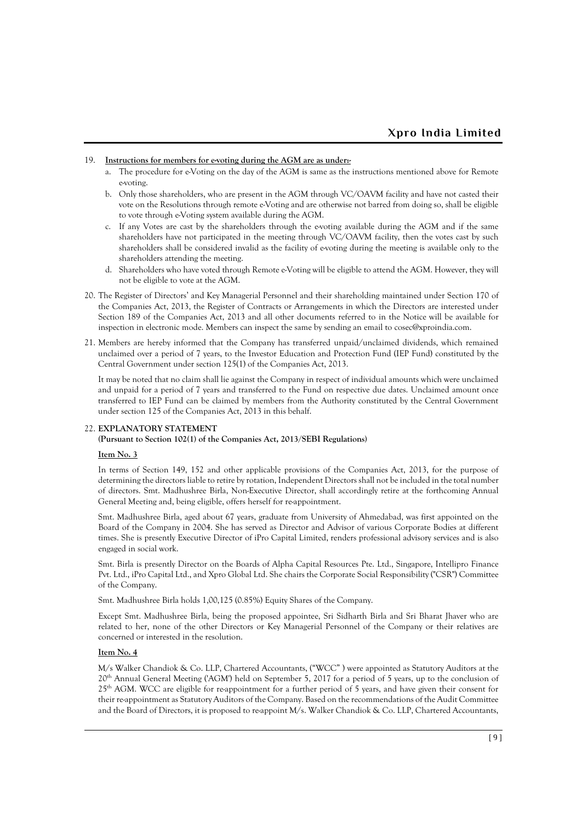#### 19. **Instructions for members for e-voting during the AGM are as under:-**

- a. The procedure for e-Voting on the day of the AGM is same as the instructions mentioned above for Remote e-voting.
- b. Only those shareholders, who are present in the AGM through VC/OAVM facility and have not casted their vote on the Resolutions through remote e-Voting and are otherwise not barred from doing so, shall be eligible to vote through e-Voting system available during the AGM.
- c. If any Votes are cast by the shareholders through the e-voting available during the AGM and if the same shareholders have not participated in the meeting through VC/OAVM facility, then the votes cast by such shareholders shall be considered invalid as the facility of e-voting during the meeting is available only to the shareholders attending the meeting.
- d. Shareholders who have voted through Remote e-Voting will be eligible to attend the AGM. However, they will not be eligible to vote at the AGM.
- 20. The Register of Directors' and Key Managerial Personnel and their shareholding maintained under Section 170 of the Companies Act, 2013, the Register of Contracts or Arrangements in which the Directors are interested under Section 189 of the Companies Act, 2013 and all other documents referred to in the Notice will be available for inspection in electronic mode. Members can inspect the same by sending an email to cosec@xproindia.com.
- 21. Members are hereby informed that the Company has transferred unpaid/unclaimed dividends, which remained unclaimed over a period of 7 years, to the Investor Education and Protection Fund (IEP Fund) constituted by the Central Government under section 125(1) of the Companies Act, 2013.

It may be noted that no claim shall lie against the Company in respect of individual amounts which were unclaimed and unpaid for a period of 7 years and transferred to the Fund on respective due dates. Unclaimed amount once transferred to IEP Fund can be claimed by members from the Authority constituted by the Central Government under section 125 of the Companies Act, 2013 in this behalf.

### 22. **EXPLANATORY STATEMENT**

#### **(Pursuant to Section 102(1) of the Companies Act, 2013/SEBI Regulations)**

#### **Item No. 3**

In terms of Section 149, 152 and other applicable provisions of the Companies Act, 2013, for the purpose of determining the directors liable to retire by rotation, Independent Directors shall not be included in the total number of directors. Smt. Madhushree Birla, Non-Executive Director, shall accordingly retire at the forthcoming Annual General Meeting and, being eligible, offers herself for re-appointment.

Smt. Madhushree Birla, aged about 67 years, graduate from University of Ahmedabad, was first appointed on the Board of the Company in 2004. She has served as Director and Advisor of various Corporate Bodies at different times. She is presently Executive Director of iPro Capital Limited, renders professional advisory services and is also engaged in social work.

Smt. Birla is presently Director on the Boards of Alpha Capital Resources Pte. Ltd., Singapore, Intellipro Finance Pvt. Ltd., iPro Capital Ltd., and Xpro Global Ltd. She chairs the Corporate Social Responsibility ("CSR") Committee of the Company.

Smt. Madhushree Birla holds 1,00,125 (0.85%) Equity Shares of the Company.

Except Smt. Madhushree Birla, being the proposed appointee, Sri Sidharth Birla and Sri Bharat Jhaver who are related to her, none of the other Directors or Key Managerial Personnel of the Company or their relatives are concerned or interested in the resolution.

### **Item No. 4**

M/s Walker Chandiok & Co. LLP, Chartered Accountants, ("WCC" ) were appointed as Statutory Auditors at the 20<sup>th</sup> Annual General Meeting ('AGM') held on September 5, 2017 for a period of 5 years, up to the conclusion of 25<sup>th</sup> AGM. WCC are eligible for re-appointment for a further period of 5 years, and have given their consent for their re-appointment as Statutory Auditors of the Company. Based on the recommendations of the Audit Committee and the Board of Directors, it is proposed to re-appoint M/s. Walker Chandiok & Co. LLP, Chartered Accountants,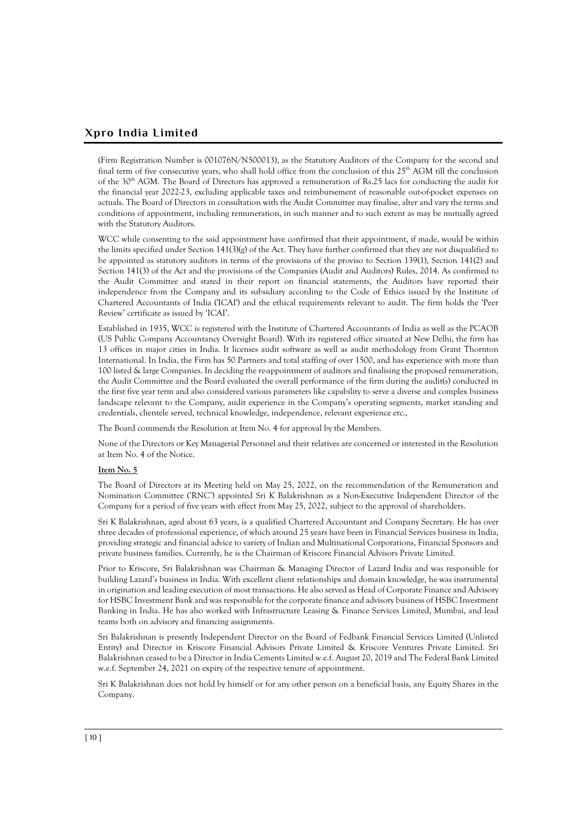(Firm Registration Number is 001076N/N500013), as the Statutory Auditors of the Company for the second and final term of five consecutive years, who shall hold office from the conclusion of this  $25<sup>th</sup>$  AGM till the conclusion of the 30th AGM. The Board of Directors has approved a remuneration of Rs.25 lacs for conducting the audit for the financial year 2022-23, excluding applicable taxes and reimbursement of reasonable out-of-pocket expenses on actuals. The Board of Directors in consultation with the Audit Committee may finalise, alter and vary the terms and conditions of appointment, including remuneration, in such manner and to such extent as may be mutually agreed with the Statutory Auditors.

WCC while consenting to the said appointment have confirmed that their appointment, if made, would be within the limits specified under Section  $141(3)(g)$  of the Act. They have further confirmed that they are not disqualified to be appointed as statutory auditors in terms of the provisions of the proviso to Section 139(1), Section 141(2) and Section 141(3) of the Act and the provisions of the Companies (Audit and Auditors) Rules, 2014. As confirmed to the Audit Committee and stated in their report on financial statements, the Auditors have reported their independence from the Company and its subsidiary according to the Code of Ethics issued by the Institute of Chartered Accountants of India ('ICAI') and the ethical requirements relevant to audit. The firm holds the 'Peer Review' certificate as issued by 'ICAI'.

Established in 1935, WCC is registered with the Institute of Chartered Accountants of India as well as the PCAOB (US Public Company Accountancy Oversight Board). With its registered office situated at New Delhi, the firm has 13 offices in major cities in India. It licenses audit software as well as audit methodology from Grant Thornton International. In India, the Firm has 50 Partners and total staffing of over 1500, and has experience with more than 100 listed & large Companies. In deciding the re-appointment of auditors and finalising the proposed remuneration, the Audit Committee and the Board evaluated the overall performance of the firm during the audit(s) conducted in the first five year term and also considered various parameters like capability to serve a diverse and complex business landscape relevant to the Company, audit experience in the Company's operating segments, market standing and credentials, clientele served, technical knowledge, independence, relevant experience etc.,

The Board commends the Resolution at Item No. 4 for approval by the Members.

None of the Directors or Key Managerial Personnel and their relatives are concerned or interested in the Resolution at Item No. 4 of the Notice.

### **Item No. 5**

The Board of Directors at its Meeting held on May 25, 2022, on the recommendation of the Remuneration and Nomination Committee ('RNC') appointed Sri K Balakrishnan as a Non-Executive Independent Director of the Company for a period of five years with effect from May 25, 2022, subject to the approval of shareholders.

Sri K Balakrishnan, aged about 63 years, is a qualified Chartered Accountant and Company Secretary. He has over three decades of professional experience, of which around 25 years have been in Financial Services business in India, providing strategic and financial advice to variety of Indian and Multinational Corporations, Financial Sponsors and private business families. Currently, he is the Chairman of Kriscore Financial Advisors Private Limited.

Prior to Kriscore, Sri Balakrishnan was Chairman & Managing Director of Lazard India and was responsible for building Lazard's business in India. With excellent client relationships and domain knowledge, he was instrumental in origination and leading execution of most transactions. He also served as Head of Corporate Finance and Advisory for HSBC Investment Bank and was responsible for the corporate finance and advisory business of HSBC Investment Banking in India. He has also worked with Infrastructure Leasing & Finance Services Limited, Mumbai, and lead teams both on advisory and financing assignments.

Sri Balakrishnan is presently Independent Director on the Board of Fedbank Financial Services Limited (Unlisted Entity) and Director in Kriscore Financial Advisors Private Limited & Kriscore Ventures Private Limited. Sri Balakrishnan ceased to be a Director in India Cements Limited w.e.f. August 20, 2019 and The Federal Bank Limited w.e.f. September 24, 2021 on expiry of the respective tenure of appointment.

Sri K Balakrishnan does not hold by himself or for any other person on a beneficial basis, any Equity Shares in the Company.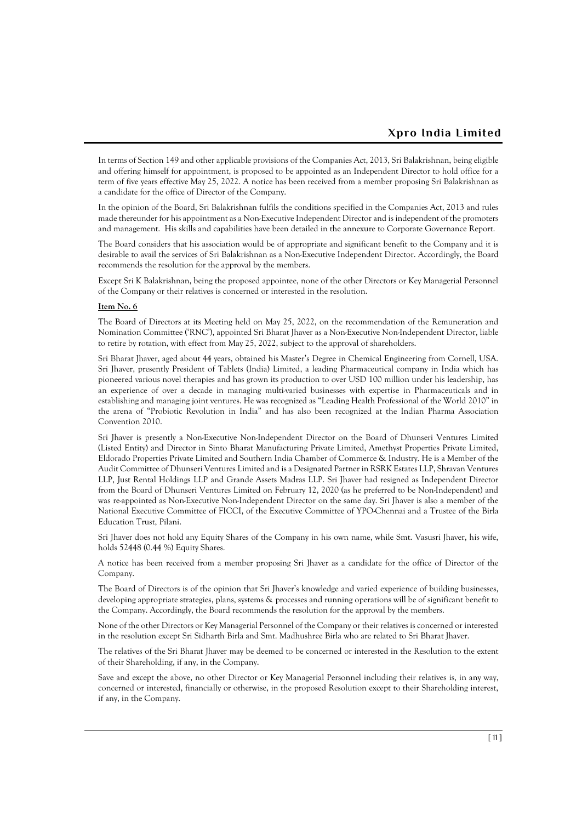In terms of Section 149 and other applicable provisions of the Companies Act, 2013, Sri Balakrishnan, being eligible and offering himself for appointment, is proposed to be appointed as an Independent Director to hold office for a term of five years effective May 25, 2022. A notice has been received from a member proposing Sri Balakrishnan as a candidate for the office of Director of the Company.

In the opinion of the Board, Sri Balakrishnan fulfils the conditions specified in the Companies Act, 2013 and rules made thereunder for his appointment as a Non-Executive Independent Director and is independent of the promoters and management. His skills and capabilities have been detailed in the annexure to Corporate Governance Report.

The Board considers that his association would be of appropriate and significant benefit to the Company and it is desirable to avail the services of Sri Balakrishnan as a Non-Executive Independent Director. Accordingly, the Board recommends the resolution for the approval by the members.

Except Sri K Balakrishnan, being the proposed appointee, none of the other Directors or Key Managerial Personnel of the Company or their relatives is concerned or interested in the resolution.

#### **Item No. 6**

The Board of Directors at its Meeting held on May 25, 2022, on the recommendation of the Remuneration and Nomination Committee ('RNC'), appointed Sri Bharat Jhaver as a Non-Executive Non-Independent Director, liable to retire by rotation, with effect from May 25, 2022, subject to the approval of shareholders.

Sri Bharat Jhaver, aged about 44 years, obtained his Master's Degree in Chemical Engineering from Cornell, USA. Sri Jhaver, presently President of Tablets (India) Limited, a leading Pharmaceutical company in India which has pioneered various novel therapies and has grown its production to over USD 100 million under his leadership, has an experience of over a decade in managing multi-varied businesses with expertise in Pharmaceuticals and in establishing and managing joint ventures. He was recognized as "Leading Health Professional of the World 2010" in the arena of "Probiotic Revolution in India" and has also been recognized at the Indian Pharma Association Convention 2010.

Sri Jhaver is presently a Non-Executive Non-Independent Director on the Board of Dhunseri Ventures Limited (Listed Entity) and Director in Sinto Bharat Manufacturing Private Limited, Amethyst Properties Private Limited, Eldorado Properties Private Limited and Southern India Chamber of Commerce & Industry. He is a Member of the Audit Committee of Dhunseri Ventures Limited and is a Designated Partner in RSRK Estates LLP, Shravan Ventures LLP, Just Rental Holdings LLP and Grande Assets Madras LLP. Sri Jhaver had resigned as Independent Director from the Board of Dhunseri Ventures Limited on February 12, 2020 (as he preferred to be Non-Independent) and was re-appointed as Non-Executive Non-Independent Director on the same day. Sri Jhaver is also a member of the National Executive Committee of FICCI, of the Executive Committee of YPO-Chennai and a Trustee of the Birla Education Trust, Pilani.

Sri Jhaver does not hold any Equity Shares of the Company in his own name, while Smt. Vasusri Jhaver, his wife, holds 52448 (0.44 %) Equity Shares.

A notice has been received from a member proposing Sri Jhaver as a candidate for the office of Director of the Company.

The Board of Directors is of the opinion that Sri Jhaver's knowledge and varied experience of building businesses, developing appropriate strategies, plans, systems & processes and running operations will be of significant benefit to the Company. Accordingly, the Board recommends the resolution for the approval by the members.

None of the other Directors or Key Managerial Personnel of the Company or their relatives is concerned or interested in the resolution except Sri Sidharth Birla and Smt. Madhushree Birla who are related to Sri Bharat Jhaver.

The relatives of the Sri Bharat Jhaver may be deemed to be concerned or interested in the Resolution to the extent of their Shareholding, if any, in the Company.

Save and except the above, no other Director or Key Managerial Personnel including their relatives is, in any way, concerned or interested, financially or otherwise, in the proposed Resolution except to their Shareholding interest, if any, in the Company.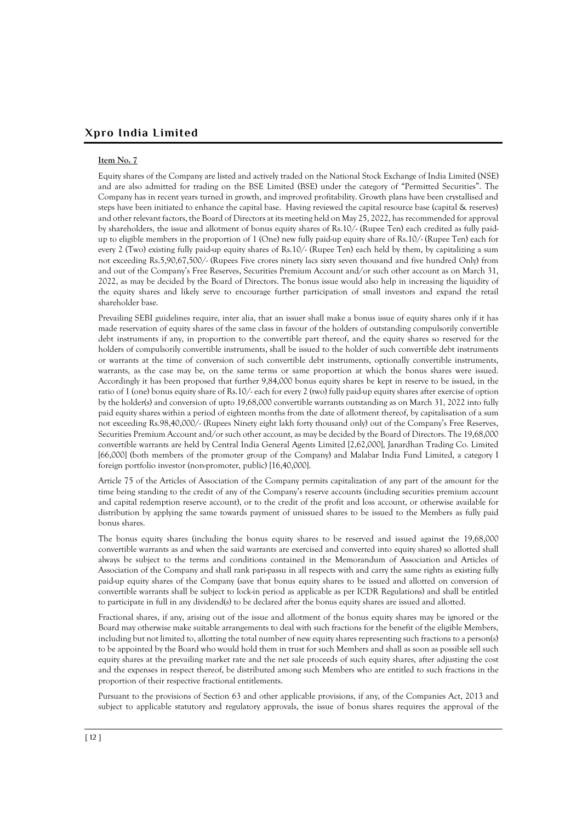#### **Item No. 7**

Equity shares of the Company are listed and actively traded on the National Stock Exchange of India Limited (NSE) and are also admitted for trading on the BSE Limited (BSE) under the category of "Permitted Securities". The Company has in recent years turned in growth, and improved profitability. Growth plans have been crystallised and steps have been initiated to enhance the capital base. Having reviewed the capital resource base (capital & reserves) and other relevant factors, the Board of Directors at its meeting held on May 25, 2022, has recommended for approval by shareholders, the issue and allotment of bonus equity shares of Rs.10/- (Rupee Ten) each credited as fully paidup to eligible members in the proportion of 1 (One) new fully paid-up equity share of Rs.10/- (Rupee Ten) each for every 2 (Two) existing fully paid-up equity shares of Rs.10/- (Rupee Ten) each held by them, by capitalizing a sum not exceeding Rs.5,90,67,500/- (Rupees Five crores ninety lacs sixty seven thousand and five hundred Only) from and out of the Company's Free Reserves, Securities Premium Account and/or such other account as on March 31, 2022, as may be decided by the Board of Directors. The bonus issue would also help in increasing the liquidity of the equity shares and likely serve to encourage further participation of small investors and expand the retail shareholder base.

Prevailing SEBI guidelines require, inter alia, that an issuer shall make a bonus issue of equity shares only if it has made reservation of equity shares of the same class in favour of the holders of outstanding compulsorily convertible debt instruments if any, in proportion to the convertible part thereof, and the equity shares so reserved for the holders of compulsorily convertible instruments, shall be issued to the holder of such convertible debt instruments or warrants at the time of conversion of such convertible debt instruments, optionally convertible instruments, warrants, as the case may be, on the same terms or same proportion at which the bonus shares were issued. Accordingly it has been proposed that further 9,84,000 bonus equity shares be kept in reserve to be issued, in the ratio of 1 (one) bonus equity share of Rs.10/- each for every 2 (two) fully paid-up equity shares after exercise of option by the holder(s) and conversion of upto 19,68,000 convertible warrants outstanding as on March 31, 2022 into fully paid equity shares within a period of eighteen months from the date of allotment thereof, by capitalisation of a sum not exceeding Rs.98,40,000/- (Rupees Ninety eight lakh forty thousand only) out of the Company's Free Reserves, Securities Premium Account and/or such other account, as may be decided by the Board of Directors. The 19,68,000 convertible warrants are held by Central India General Agents Limited [2,62,000], Janardhan Trading Co. Limited [66,000] (both members of the promoter group of the Company) and Malabar India Fund Limited, a category I foreign portfolio investor (non-promoter, public) [16,40,000].

Article 75 of the Articles of Association of the Company permits capitalization of any part of the amount for the time being standing to the credit of any of the Company's reserve accounts (including securities premium account and capital redemption reserve account), or to the credit of the profit and loss account, or otherwise available for distribution by applying the same towards payment of unissued shares to be issued to the Members as fully paid bonus shares.

The bonus equity shares (including the bonus equity shares to be reserved and issued against the 19,68,000 convertible warrants as and when the said warrants are exercised and converted into equity shares) so allotted shall always be subject to the terms and conditions contained in the Memorandum of Association and Articles of Association of the Company and shall rank pari-passu in all respects with and carry the same rights as existing fully paid-up equity shares of the Company (save that bonus equity shares to be issued and allotted on conversion of convertible warrants shall be subject to lock-in period as applicable as per ICDR Regulations) and shall be entitled to participate in full in any dividend(s) to be declared after the bonus equity shares are issued and allotted.

Fractional shares, if any, arising out of the issue and allotment of the bonus equity shares may be ignored or the Board may otherwise make suitable arrangements to deal with such fractions for the benefit of the eligible Members, including but not limited to, allotting the total number of new equity shares representing such fractions to a person(s) to be appointed by the Board who would hold them in trust for such Members and shall as soon as possible sell such equity shares at the prevailing market rate and the net sale proceeds of such equity shares, after adjusting the cost and the expenses in respect thereof, be distributed among such Members who are entitled to such fractions in the proportion of their respective fractional entitlements.

Pursuant to the provisions of Section 63 and other applicable provisions, if any, of the Companies Act, 2013 and subject to applicable statutory and regulatory approvals, the issue of bonus shares requires the approval of the